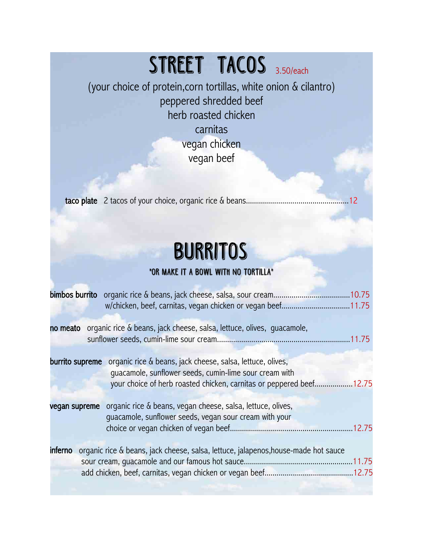### STREET TACOS 3.50/each

(your choice of protein,corn tortillas, white onion & cilantro) peppered shredded beef herb roasted chicken carnitas

vegan chicken vegan beef

taco plate 2 tacos of your choice, organic rice & beans...................................................12

### **burritos**

### **\*Or make it a bowl with no tortilla\***

|                 | bimbos burrito organic rice & beans, jack cheese, salsa, sour cream10.75                          |
|-----------------|---------------------------------------------------------------------------------------------------|
|                 | w/chicken, beef, carnitas, vegan chicken or vegan beef11.75                                       |
|                 |                                                                                                   |
|                 | no meato organic rice & beans, jack cheese, salsa, lettuce, olives, quacamole,                    |
|                 |                                                                                                   |
|                 |                                                                                                   |
| burrito supreme | organic rice & beans, jack cheese, salsa, lettuce, olives,                                        |
|                 | quacamole, sunflower seeds, cumin-lime sour cream with                                            |
|                 | your choice of herb roasted chicken, carnitas or peppered beef12.75                               |
|                 |                                                                                                   |
| vegan supreme   | organic rice & beans, vegan cheese, salsa, lettuce, olives,                                       |
|                 | quacamole, sunflower seeds, vegan sour cream with your                                            |
|                 |                                                                                                   |
|                 |                                                                                                   |
|                 | <b>inferno</b> organic rice & beans, jack cheese, salsa, lettuce, jalapenos, house-made hot sauce |
|                 |                                                                                                   |
|                 |                                                                                                   |
|                 |                                                                                                   |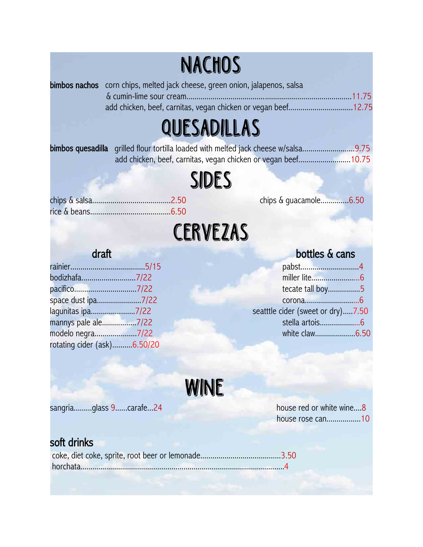### **nachos**

| <b>bimbos nachos</b> corn chips, melted jack cheese, green onion, jalapenos, salsa |  |
|------------------------------------------------------------------------------------|--|
|                                                                                    |  |
|                                                                                    |  |
|                                                                                    |  |

## **quesadillas**

| <b>bimbos quesadilla</b> grilled flour tortilla loaded with melted jack cheese w/salsa9.75 |  |
|--------------------------------------------------------------------------------------------|--|
| add chicken, beef, carnitas, vegan chicken or vegan beef10.75                              |  |

**sides**

chips & guacamole...............6.50

## **cerveZas**

| pabst4                           |
|----------------------------------|
|                                  |
| tecate tall boy5                 |
|                                  |
| seatttle cider (sweet or dry)7.5 |
|                                  |
|                                  |
|                                  |
|                                  |

### draft bottles & cans

| tecate tall boy5                  |
|-----------------------------------|
|                                   |
| seatttle cider (sweet or dry)7.50 |
| stella artois6                    |
| white claw6.50                    |
|                                   |

**WINE**

sangria.........glass 9......carafe...24 house red or white wine....8

house rose can.................10

### soft drinks

coke, diet coke, sprite, root beer or lemonade........................................3.50 horchata.....................................................................................................4